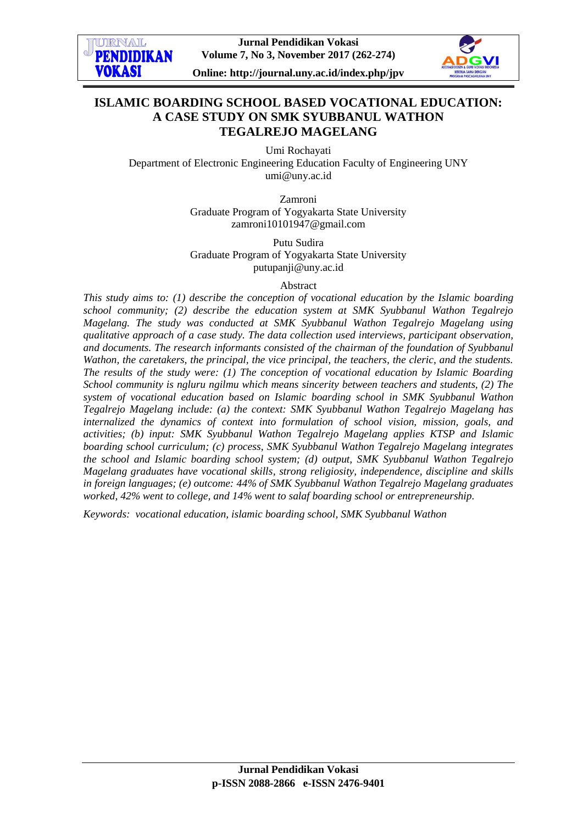

**Online: http://journal.uny.ac.id/index.php/jpv**



# **ISLAMIC BOARDING SCHOOL BASED VOCATIONAL EDUCATION: A CASE STUDY ON SMK SYUBBANUL WATHON TEGALREJO MAGELANG**

Umi Rochayati Department of Electronic Engineering Education Faculty of Engineering UNY umi@uny.ac.id

> Zamroni Graduate Program of Yogyakarta State University zamroni10101947@gmail.com

> Putu Sudira Graduate Program of Yogyakarta State University putupanji@uny.ac.id

#### Abstract

*This study aims to: (1) describe the conception of vocational education by the Islamic boarding school community; (2) describe the education system at SMK Syubbanul Wathon Tegalrejo Magelang. The study was conducted at SMK Syubbanul Wathon Tegalrejo Magelang using qualitative approach of a case study. The data collection used interviews, participant observation, and documents. The research informants consisted of the chairman of the foundation of Syubbanul Wathon, the caretakers, the principal, the vice principal, the teachers, the cleric, and the students. The results of the study were: (1) The conception of vocational education by Islamic Boarding School community is ngluru ngilmu which means sincerity between teachers and students, (2) The system of vocational education based on Islamic boarding school in SMK Syubbanul Wathon Tegalrejo Magelang include: (a) the context: SMK Syubbanul Wathon Tegalrejo Magelang has internalized the dynamics of context into formulation of school vision, mission, goals, and activities; (b) input: SMK Syubbanul Wathon Tegalrejo Magelang applies KTSP and Islamic boarding school curriculum; (c) process, SMK Syubbanul Wathon Tegalrejo Magelang integrates the school and Islamic boarding school system; (d) output, SMK Syubbanul Wathon Tegalrejo Magelang graduates have vocational skills, strong religiosity, independence, discipline and skills in foreign languages; (e) outcome: 44% of SMK Syubbanul Wathon Tegalrejo Magelang graduates worked, 42% went to college, and 14% went to salaf boarding school or entrepreneurship.*

*Keywords: vocational education, islamic boarding school, SMK Syubbanul Wathon*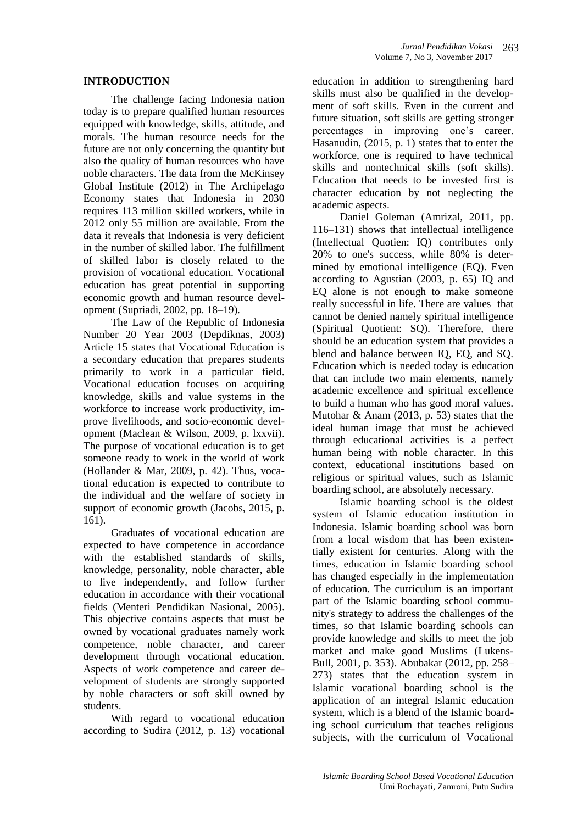# **INTRODUCTION**

The challenge facing Indonesia nation today is to prepare qualified human resources equipped with knowledge, skills, attitude, and morals. The human resource needs for the future are not only concerning the quantity but also the quality of human resources who have noble characters. The data from the McKinsey Global Institute (2012) in The Archipelago Economy states that Indonesia in 2030 requires 113 million skilled workers, while in 2012 only 55 million are available. From the data it reveals that Indonesia is very deficient in the number of skilled labor. The fulfillment of skilled labor is closely related to the provision of vocational education. Vocational education has great potential in supporting economic growth and human resource development (Supriadi, 2002, pp. 18–19).

The Law of the Republic of Indonesia Number 20 Year 2003 (Depdiknas, 2003) Article 15 states that Vocational Education is a secondary education that prepares students primarily to work in a particular field. Vocational education focuses on acquiring knowledge, skills and value systems in the workforce to increase work productivity, improve livelihoods, and socio-economic development (Maclean & Wilson, 2009, p. lxxvii). The purpose of vocational education is to get someone ready to work in the world of work (Hollander & Mar, 2009, p. 42). Thus, vocational education is expected to contribute to the individual and the welfare of society in support of economic growth (Jacobs, 2015, p. 161).

Graduates of vocational education are expected to have competence in accordance with the established standards of skills, knowledge, personality, noble character, able to live independently, and follow further education in accordance with their vocational fields (Menteri Pendidikan Nasional, 2005). This objective contains aspects that must be owned by vocational graduates namely work competence, noble character, and career development through vocational education. Aspects of work competence and career development of students are strongly supported by noble characters or soft skill owned by students.

With regard to vocational education according to Sudira (2012, p. 13) vocational

education in addition to strengthening hard skills must also be qualified in the development of soft skills. Even in the current and future situation, soft skills are getting stronger percentages in improving one's career. Hasanudin, (2015, p. 1) states that to enter the workforce, one is required to have technical skills and nontechnical skills (soft skills). Education that needs to be invested first is character education by not neglecting the academic aspects.

Daniel Goleman (Amrizal, 2011, pp. 116–131) shows that intellectual intelligence (Intellectual Quotien: IQ) contributes only 20% to one's success, while 80% is determined by emotional intelligence (EQ). Even according to Agustian (2003, p. 65) IQ and EQ alone is not enough to make someone really successful in life. There are values that cannot be denied namely spiritual intelligence (Spiritual Quotient: SQ). Therefore, there should be an education system that provides a blend and balance between IQ, EQ, and SQ. Education which is needed today is education that can include two main elements, namely academic excellence and spiritual excellence to build a human who has good moral values. Mutohar & Anam (2013, p. 53) states that the ideal human image that must be achieved through educational activities is a perfect human being with noble character. In this context, educational institutions based on religious or spiritual values, such as Islamic boarding school, are absolutely necessary.

Islamic boarding school is the oldest system of Islamic education institution in Indonesia. Islamic boarding school was born from a local wisdom that has been existentially existent for centuries. Along with the times, education in Islamic boarding school has changed especially in the implementation of education. The curriculum is an important part of the Islamic boarding school community's strategy to address the challenges of the times, so that Islamic boarding schools can provide knowledge and skills to meet the job market and make good Muslims (Lukens-Bull, 2001, p. 353). Abubakar (2012, pp. 258– 273) states that the education system in Islamic vocational boarding school is the application of an integral Islamic education system, which is a blend of the Islamic boarding school curriculum that teaches religious subjects, with the curriculum of Vocational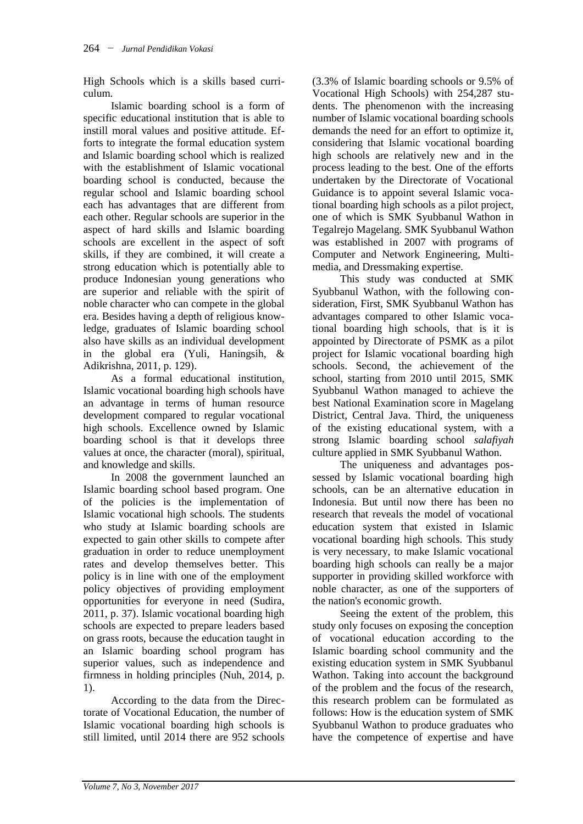High Schools which is a skills based curriculum.

Islamic boarding school is a form of specific educational institution that is able to instill moral values and positive attitude. Efforts to integrate the formal education system and Islamic boarding school which is realized with the establishment of Islamic vocational boarding school is conducted, because the regular school and Islamic boarding school each has advantages that are different from each other. Regular schools are superior in the aspect of hard skills and Islamic boarding schools are excellent in the aspect of soft skills, if they are combined, it will create a strong education which is potentially able to produce Indonesian young generations who are superior and reliable with the spirit of noble character who can compete in the global era. Besides having a depth of religious knowledge, graduates of Islamic boarding school also have skills as an individual development in the global era (Yuli, Haningsih, & Adikrishna, 2011, p. 129).

As a formal educational institution, Islamic vocational boarding high schools have an advantage in terms of human resource development compared to regular vocational high schools. Excellence owned by Islamic boarding school is that it develops three values at once, the character (moral), spiritual, and knowledge and skills.

In 2008 the government launched an Islamic boarding school based program. One of the policies is the implementation of Islamic vocational high schools. The students who study at Islamic boarding schools are expected to gain other skills to compete after graduation in order to reduce unemployment rates and develop themselves better. This policy is in line with one of the employment policy objectives of providing employment opportunities for everyone in need (Sudira, 2011, p. 37). Islamic vocational boarding high schools are expected to prepare leaders based on grass roots, because the education taught in an Islamic boarding school program has superior values, such as independence and firmness in holding principles (Nuh, 2014, p. 1).

According to the data from the Directorate of Vocational Education, the number of Islamic vocational boarding high schools is still limited, until 2014 there are 952 schools

(3.3% of Islamic boarding schools or 9.5% of Vocational High Schools) with 254,287 students. The phenomenon with the increasing number of Islamic vocational boarding schools demands the need for an effort to optimize it, considering that Islamic vocational boarding high schools are relatively new and in the process leading to the best. One of the efforts undertaken by the Directorate of Vocational Guidance is to appoint several Islamic vocational boarding high schools as a pilot project, one of which is SMK Syubbanul Wathon in Tegalrejo Magelang. SMK Syubbanul Wathon was established in 2007 with programs of Computer and Network Engineering, Multimedia, and Dressmaking expertise.

This study was conducted at SMK Syubbanul Wathon, with the following consideration, First, SMK Syubbanul Wathon has advantages compared to other Islamic vocational boarding high schools, that is it is appointed by Directorate of PSMK as a pilot project for Islamic vocational boarding high schools. Second, the achievement of the school, starting from 2010 until 2015, SMK Syubbanul Wathon managed to achieve the best National Examination score in Magelang District, Central Java. Third, the uniqueness of the existing educational system, with a strong Islamic boarding school *salafiyah* culture applied in SMK Syubbanul Wathon.

The uniqueness and advantages possessed by Islamic vocational boarding high schools, can be an alternative education in Indonesia. But until now there has been no research that reveals the model of vocational education system that existed in Islamic vocational boarding high schools. This study is very necessary, to make Islamic vocational boarding high schools can really be a major supporter in providing skilled workforce with noble character, as one of the supporters of the nation's economic growth.

Seeing the extent of the problem, this study only focuses on exposing the conception of vocational education according to the Islamic boarding school community and the existing education system in SMK Syubbanul Wathon. Taking into account the background of the problem and the focus of the research, this research problem can be formulated as follows: How is the education system of SMK Syubbanul Wathon to produce graduates who have the competence of expertise and have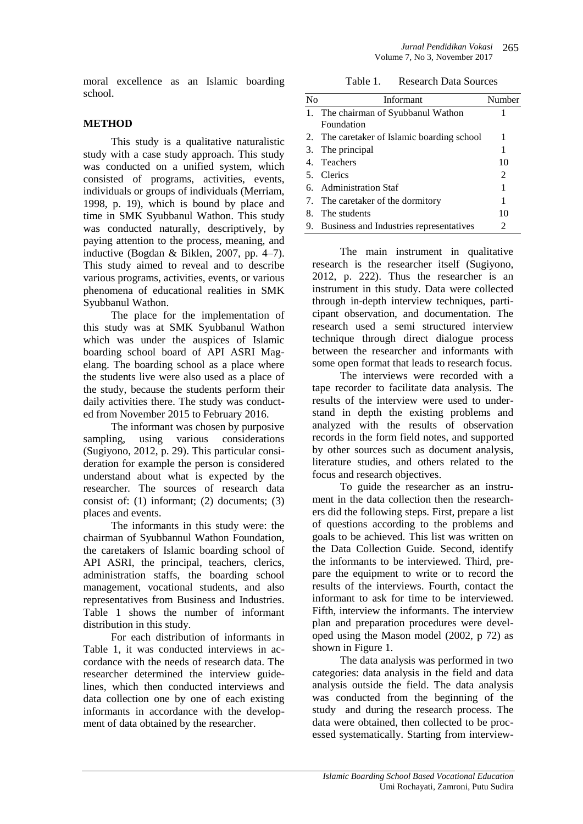moral excellence as an Islamic boarding school.

# **METHOD**

This study is a qualitative naturalistic study with a case study approach. This study was conducted on a unified system, which consisted of programs, activities, events, individuals or groups of individuals (Merriam, 1998, p. 19), which is bound by place and time in SMK Syubbanul Wathon. This study was conducted naturally, descriptively, by paying attention to the process, meaning, and inductive (Bogdan & Biklen, 2007, pp. 4–7). This study aimed to reveal and to describe various programs, activities, events, or various phenomena of educational realities in SMK Syubbanul Wathon.

The place for the implementation of this study was at SMK Syubbanul Wathon which was under the auspices of Islamic boarding school board of API ASRI Magelang. The boarding school as a place where the students live were also used as a place of the study, because the students perform their daily activities there. The study was conducted from November 2015 to February 2016.

The informant was chosen by purposive sampling, using various considerations (Sugiyono, 2012, p. 29). This particular consideration for example the person is considered understand about what is expected by the researcher. The sources of research data consist of: (1) informant; (2) documents; (3) places and events.

The informants in this study were: the chairman of Syubbannul Wathon Foundation, the caretakers of Islamic boarding school of API ASRI, the principal, teachers, clerics, administration staffs, the boarding school management, vocational students, and also representatives from Business and Industries. Table 1 shows the number of informant distribution in this study.

For each distribution of informants in Table 1, it was conducted interviews in accordance with the needs of research data. The researcher determined the interview guidelines, which then conducted interviews and data collection one by one of each existing informants in accordance with the development of data obtained by the researcher.

Table 1. Research Data Sources

| N <sub>0</sub> | Informant                                   | Number |
|----------------|---------------------------------------------|--------|
|                | 1. The chairman of Syubbanul Wathon         |        |
|                | Foundation                                  |        |
|                | 2. The caretaker of Islamic boarding school | 1      |
|                | 3. The principal                            | 1      |
|                | 4. Teachers                                 | 10     |
|                | 5. Clerics                                  | 2      |
|                | 6. Administration Staf                      | 1      |
|                | 7. The caretaker of the dormitory           | 1      |
| 8.             | The students                                | 10     |
|                | 9. Business and Industries representatives  | 2      |

The main instrument in qualitative research is the researcher itself (Sugiyono, 2012, p. 222). Thus the researcher is an instrument in this study. Data were collected through in-depth interview techniques, participant observation, and documentation. The research used a semi structured interview technique through direct dialogue process between the researcher and informants with some open format that leads to research focus.

The interviews were recorded with a tape recorder to facilitate data analysis. The results of the interview were used to understand in depth the existing problems and analyzed with the results of observation records in the form field notes, and supported by other sources such as document analysis, literature studies, and others related to the focus and research objectives.

To guide the researcher as an instrument in the data collection then the researchers did the following steps. First, prepare a list of questions according to the problems and goals to be achieved. This list was written on the Data Collection Guide. Second, identify the informants to be interviewed. Third, prepare the equipment to write or to record the results of the interviews. Fourth, contact the informant to ask for time to be interviewed. Fifth, interview the informants. The interview plan and preparation procedures were developed using the Mason model (2002, p 72) as shown in Figure 1.

The data analysis was performed in two categories: data analysis in the field and data analysis outside the field. The data analysis was conducted from the beginning of the study and during the research process. The data were obtained, then collected to be processed systematically. Starting from interview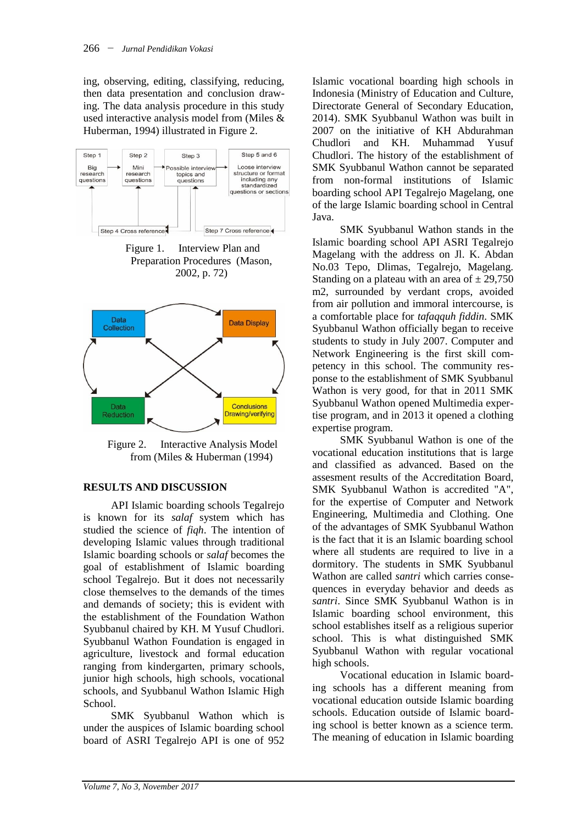ing, observing, editing, classifying, reducing, then data presentation and conclusion drawing. The data analysis procedure in this study used interactive analysis model from (Miles & Huberman, 1994) illustrated in Figure 2.



Figure 1. Interview Plan and Preparation Procedures (Mason, 2002, p. 72)



Figure 2. Interactive Analysis Model from (Miles & Huberman (1994)

## **RESULTS AND DISCUSSION**

API Islamic boarding schools Tegalrejo is known for its *salaf* system which has studied the science of *fiqh*. The intention of developing Islamic values through traditional Islamic boarding schools or *salaf* becomes the goal of establishment of Islamic boarding school Tegalrejo. But it does not necessarily close themselves to the demands of the times and demands of society; this is evident with the establishment of the Foundation Wathon Syubbanul chaired by KH. M Yusuf Chudlori. Syubbanul Wathon Foundation is engaged in agriculture, livestock and formal education ranging from kindergarten, primary schools, junior high schools, high schools, vocational schools, and Syubbanul Wathon Islamic High School.

SMK Syubbanul Wathon which is under the auspices of Islamic boarding school board of ASRI Tegalrejo API is one of 952 Islamic vocational boarding high schools in Indonesia (Ministry of Education and Culture, Directorate General of Secondary Education, 2014). SMK Syubbanul Wathon was built in 2007 on the initiative of KH Abdurahman Chudlori and KH. Muhammad Yusuf Chudlori. The history of the establishment of SMK Syubbanul Wathon cannot be separated from non-formal institutions of Islamic boarding school API Tegalrejo Magelang, one of the large Islamic boarding school in Central Java.

SMK Syubbanul Wathon stands in the Islamic boarding school API ASRI Tegalrejo Magelang with the address on Jl. K. Abdan No.03 Tepo, Dlimas, Tegalrejo, Magelang. Standing on a plateau with an area of  $\pm$  29,750 m2, surrounded by verdant crops, avoided from air pollution and immoral intercourse, is a comfortable place for *tafaqquh fiddin*. SMK Syubbanul Wathon officially began to receive students to study in July 2007. Computer and Network Engineering is the first skill competency in this school. The community response to the establishment of SMK Syubbanul Wathon is very good, for that in 2011 SMK Syubbanul Wathon opened Multimedia expertise program, and in 2013 it opened a clothing expertise program.

SMK Syubbanul Wathon is one of the vocational education institutions that is large and classified as advanced. Based on the assesment results of the Accreditation Board, SMK Syubbanul Wathon is accredited "A", for the expertise of Computer and Network Engineering, Multimedia and Clothing. One of the advantages of SMK Syubbanul Wathon is the fact that it is an Islamic boarding school where all students are required to live in a dormitory. The students in SMK Syubbanul Wathon are called *santri* which carries consequences in everyday behavior and deeds as *santri*. Since SMK Syubbanul Wathon is in Islamic boarding school environment, this school establishes itself as a religious superior school. This is what distinguished SMK Syubbanul Wathon with regular vocational high schools.

Vocational education in Islamic boarding schools has a different meaning from vocational education outside Islamic boarding schools. Education outside of Islamic boarding school is better known as a science term. The meaning of education in Islamic boarding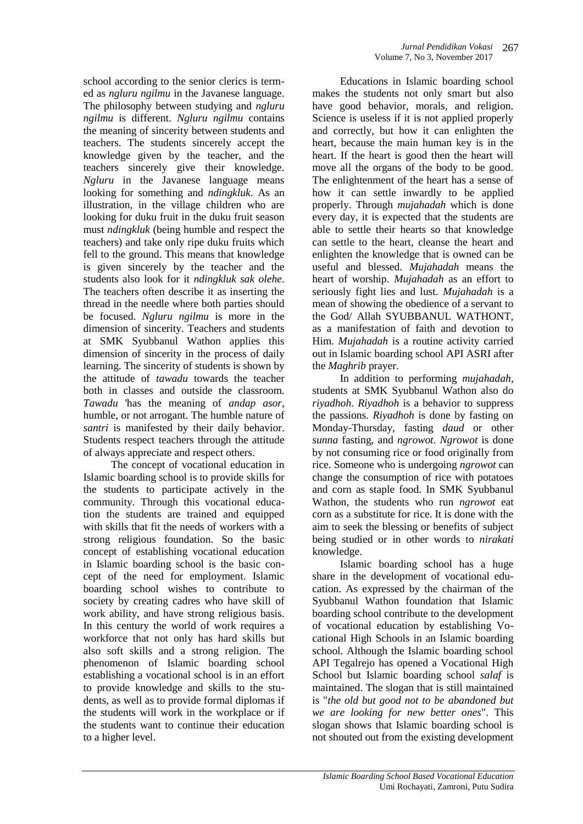school according to the senior clerics is termed as *ngluru ngilmu* in the Javanese language. The philosophy between studying and *ngluru ngilmu* is different. *Ngluru ngilmu* contains the meaning of sincerity between students and teachers. The students sincerely accept the knowledge given by the teacher, and the teachers sincerely give their knowledge. *Ngluru* in the Javanese language means looking for something and *ndingkluk*. As an illustration, in the village children who are looking for duku fruit in the duku fruit season must *ndingkluk* (being humble and respect the teachers) and take only ripe duku fruits which fell to the ground. This means that knowledge is given sincerely by the teacher and the students also look for it *ndingkluk sak olehe*. The teachers often describe it as inserting the thread in the needle where both parties should be focused. *Ngluru ngilmu* is more in the dimension of sincerity. Teachers and students at SMK Syubbanul Wathon applies this dimension of sincerity in the process of daily learning. The sincerity of students is shown by the attitude of *tawadu* towards the teacher both in classes and outside the classroom. *Tawadu* 'has the meaning of *andap asor*, humble, or not arrogant. The humble nature of *santri* is manifested by their daily behavior. Students respect teachers through the attitude of always appreciate and respect others.

The concept of vocational education in Islamic boarding school is to provide skills for the students to participate actively in the community. Through this vocational education the students are trained and equipped with skills that fit the needs of workers with a strong religious foundation. So the basic concept of establishing vocational education in Islamic boarding school is the basic concept of the need for employment. Islamic boarding school wishes to contribute to society by creating cadres who have skill of work ability, and have strong religious basis. In this century the world of work requires a workforce that not only has hard skills but also soft skills and a strong religion. The phenomenon of Islamic boarding school establishing a vocational school is in an effort to provide knowledge and skills to the students, as well as to provide formal diplomas if the students will work in the workplace or if the students want to continue their education to a higher level.

Educations in Islamic boarding school makes the students not only smart but also have good behavior, morals, and religion. Science is useless if it is not applied properly and correctly, but how it can enlighten the heart, because the main human key is in the heart. If the heart is good then the heart will move all the organs of the body to be good. The enlightenment of the heart has a sense of how it can settle inwardly to be applied properly. Through *mujahadah* which is done every day, it is expected that the students are able to settle their hearts so that knowledge can settle to the heart, cleanse the heart and enlighten the knowledge that is owned can be useful and blessed. *Mujahadah* means the heart of worship. *Mujahadah* as an effort to seriously fight lies and lust. *Mujahadah* is a mean of showing the obedience of a servant to the God/ Allah SYUBBANUL WATHONT, as a manifestation of faith and devotion to Him. *Mujahadah* is a routine activity carried out in Islamic boarding school API ASRI after the *Maghrib* prayer.

In addition to performing *mujahadah*, students at SMK Syubbanul Wathon also do *riyadhoh*. *Riyadhoh* is a behavior to suppress the passions. *Riyadhoh* is done by fasting on Monday-Thursday, fasting *daud* or other *sunna* fasting, and *ngrowot*. *Ngrowot* is done by not consuming rice or food originally from rice. Someone who is undergoing *ngrowot* can change the consumption of rice with potatoes and corn as staple food. In SMK Syubbanul Wathon, the students who run *ngrowot* eat corn as a substitute for rice. It is done with the aim to seek the blessing or benefits of subject being studied or in other words to *nirakati* knowledge.

Islamic boarding school has a huge share in the development of vocational education. As expressed by the chairman of the Syubbanul Wathon foundation that Islamic boarding school contribute to the development of vocational education by establishing Vocational High Schools in an Islamic boarding school. Although the Islamic boarding school API Tegalrejo has opened a Vocational High School but Islamic boarding school *salaf* is maintained. The slogan that is still maintained is "*the old but good not to be abandoned but we are looking for new better ones*". This slogan shows that Islamic boarding school is not shouted out from the existing development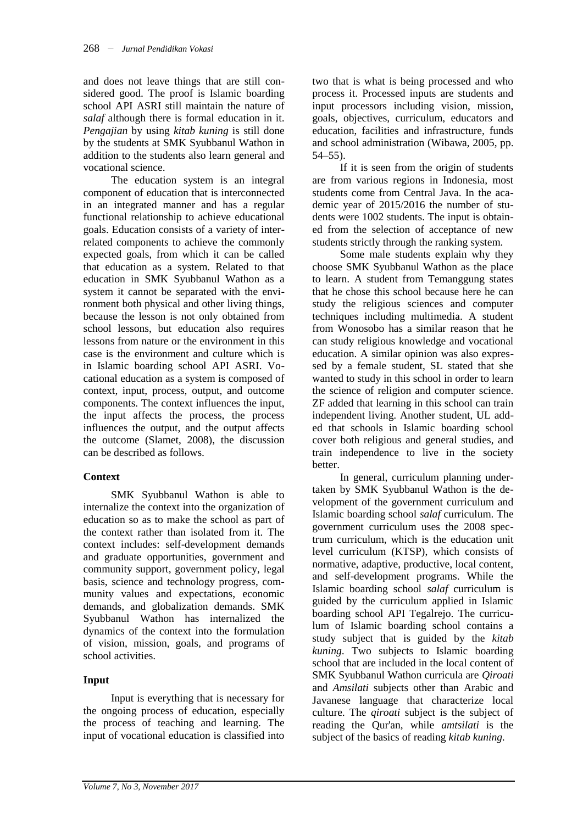and does not leave things that are still considered good. The proof is Islamic boarding school API ASRI still maintain the nature of *salaf* although there is formal education in it. *Pengajian* by using *kitab kuning* is still done by the students at SMK Syubbanul Wathon in addition to the students also learn general and vocational science.

The education system is an integral component of education that is interconnected in an integrated manner and has a regular functional relationship to achieve educational goals. Education consists of a variety of interrelated components to achieve the commonly expected goals, from which it can be called that education as a system. Related to that education in SMK Syubbanul Wathon as a system it cannot be separated with the environment both physical and other living things, because the lesson is not only obtained from school lessons, but education also requires lessons from nature or the environment in this case is the environment and culture which is in Islamic boarding school API ASRI. Vocational education as a system is composed of context, input, process, output, and outcome components. The context influences the input, the input affects the process, the process influences the output, and the output affects the outcome (Slamet, 2008), the discussion can be described as follows.

# **Context**

SMK Syubbanul Wathon is able to internalize the context into the organization of education so as to make the school as part of the context rather than isolated from it. The context includes: self-development demands and graduate opportunities, government and community support, government policy, legal basis, science and technology progress, community values and expectations, economic demands, and globalization demands. SMK Syubbanul Wathon has internalized the dynamics of the context into the formulation of vision, mission, goals, and programs of school activities.

# **Input**

Input is everything that is necessary for the ongoing process of education, especially the process of teaching and learning. The input of vocational education is classified into

two that is what is being processed and who process it. Processed inputs are students and input processors including vision, mission, goals, objectives, curriculum, educators and education, facilities and infrastructure, funds and school administration (Wibawa, 2005, pp. 54–55).

If it is seen from the origin of students are from various regions in Indonesia, most students come from Central Java. In the academic year of 2015/2016 the number of students were 1002 students. The input is obtained from the selection of acceptance of new students strictly through the ranking system.

Some male students explain why they choose SMK Syubbanul Wathon as the place to learn. A student from Temanggung states that he chose this school because here he can study the religious sciences and computer techniques including multimedia. A student from Wonosobo has a similar reason that he can study religious knowledge and vocational education. A similar opinion was also expressed by a female student, SL stated that she wanted to study in this school in order to learn the science of religion and computer science. ZF added that learning in this school can train independent living. Another student, UL added that schools in Islamic boarding school cover both religious and general studies, and train independence to live in the society better.

In general, curriculum planning undertaken by SMK Syubbanul Wathon is the development of the government curriculum and Islamic boarding school *salaf* curriculum. The government curriculum uses the 2008 spectrum curriculum, which is the education unit level curriculum (KTSP), which consists of normative, adaptive, productive, local content, and self-development programs. While the Islamic boarding school *salaf* curriculum is guided by the curriculum applied in Islamic boarding school API Tegalrejo. The curriculum of Islamic boarding school contains a study subject that is guided by the *kitab kuning*. Two subjects to Islamic boarding school that are included in the local content of SMK Syubbanul Wathon curricula are *Qiroati*  and *Amsilati* subjects other than Arabic and Javanese language that characterize local culture. The *qiroati* subject is the subject of reading the Qur'an, while *amtsilati* is the subject of the basics of reading *kitab kuning.*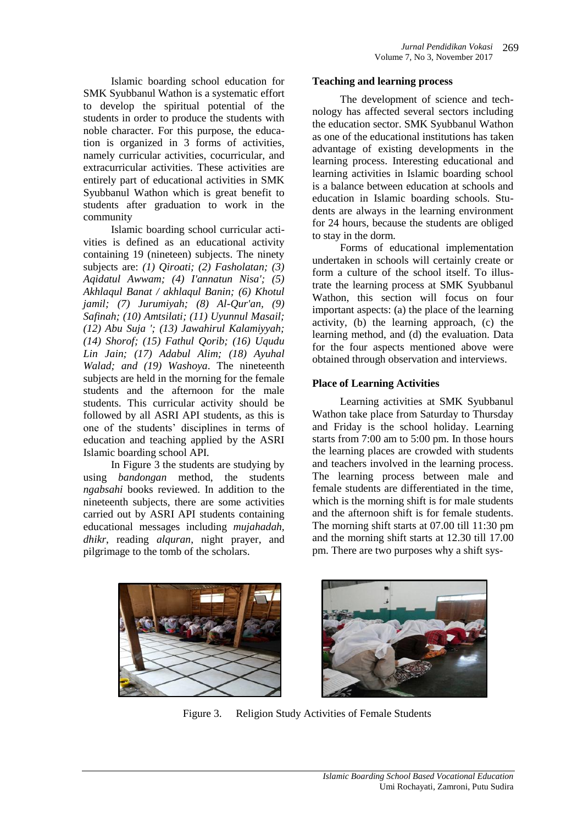Islamic boarding school education for SMK Syubbanul Wathon is a systematic effort to develop the spiritual potential of the students in order to produce the students with noble character. For this purpose, the education is organized in 3 forms of activities, namely curricular activities, cocurricular, and extracurricular activities. These activities are entirely part of educational activities in SMK Syubbanul Wathon which is great benefit to students after graduation to work in the community

Islamic boarding school curricular activities is defined as an educational activity containing 19 (nineteen) subjects. The ninety subjects are: *(1) Qiroati; (2) Fasholatan; (3) Aqidatul Awwam; (4) I'annatun Nisa'; (5) Akhlaqul Banat / akhlaqul Banin; (6) Khotul jamil; (7) Jurumiyah; (8) Al-Qur'an, (9) Safinah; (10) Amtsilati; (11) Uyunnul Masail; (12) Abu Suja '; (13) Jawahirul Kalamiyyah; (14) Shorof; (15) Fathul Qorib; (16) Uqudu Lin Jain; (17) Adabul Alim; (18) Ayuhal Walad; and (19) Washoya*. The nineteenth subjects are held in the morning for the female students and the afternoon for the male students. This curricular activity should be followed by all ASRI API students, as this is one of the students' disciplines in terms of education and teaching applied by the ASRI Islamic boarding school API.

In Figure 3 the students are studying by using *bandongan* method, the students *ngabsahi* books reviewed. In addition to the nineteenth subjects, there are some activities carried out by ASRI API students containing educational messages including *mujahadah, dhikr*, reading *alquran*, night prayer, and pilgrimage to the tomb of the scholars.

#### **Teaching and learning process**

The development of science and technology has affected several sectors including the education sector. SMK Syubbanul Wathon as one of the educational institutions has taken advantage of existing developments in the learning process. Interesting educational and learning activities in Islamic boarding school is a balance between education at schools and education in Islamic boarding schools. Students are always in the learning environment for 24 hours, because the students are obliged to stay in the dorm.

Forms of educational implementation undertaken in schools will certainly create or form a culture of the school itself. To illustrate the learning process at SMK Syubbanul Wathon, this section will focus on four important aspects: (a) the place of the learning activity, (b) the learning approach, (c) the learning method, and (d) the evaluation. Data for the four aspects mentioned above were obtained through observation and interviews.

### **Place of Learning Activities**

Learning activities at SMK Syubbanul Wathon take place from Saturday to Thursday and Friday is the school holiday. Learning starts from 7:00 am to 5:00 pm. In those hours the learning places are crowded with students and teachers involved in the learning process. The learning process between male and female students are differentiated in the time, which is the morning shift is for male students and the afternoon shift is for female students. The morning shift starts at 07.00 till 11:30 pm and the morning shift starts at 12.30 till 17.00 pm. There are two purposes why a shift sys-





Figure 3. Religion Study Activities of Female Students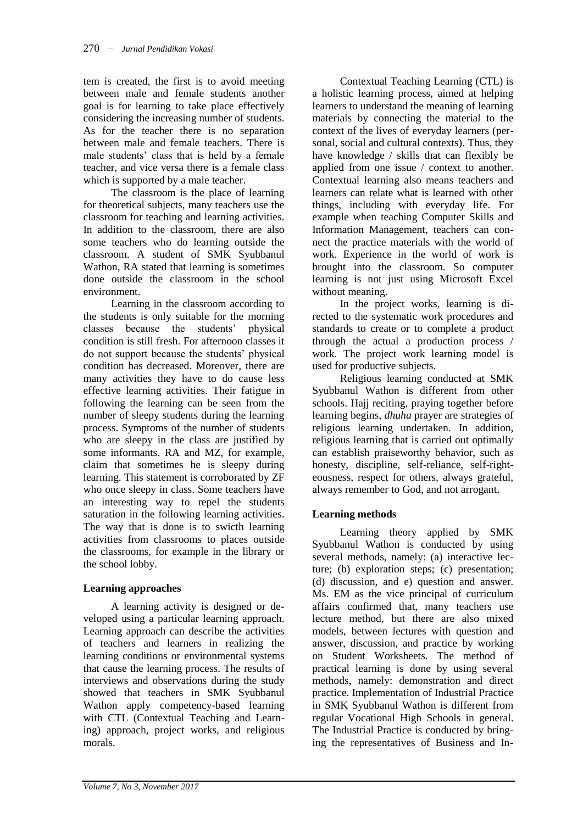tem is created, the first is to avoid meeting between male and female students another goal is for learning to take place effectively considering the increasing number of students. As for the teacher there is no separation between male and female teachers. There is male students' class that is held by a female teacher, and vice versa there is a female class which is supported by a male teacher.

The classroom is the place of learning for theoretical subjects, many teachers use the classroom for teaching and learning activities. In addition to the classroom, there are also some teachers who do learning outside the classroom. A student of SMK Syubbanul Wathon, RA stated that learning is sometimes done outside the classroom in the school environment.

Learning in the classroom according to the students is only suitable for the morning classes because the students' physical condition is still fresh. For afternoon classes it do not support because the students' physical condition has decreased. Moreover, there are many activities they have to do cause less effective learning activities. Their fatigue in following the learning can be seen from the number of sleepy students during the learning process. Symptoms of the number of students who are sleepy in the class are justified by some informants. RA and MZ, for example, claim that sometimes he is sleepy during learning. This statement is corroborated by ZF who once sleepy in class. Some teachers have an interesting way to repel the students saturation in the following learning activities. The way that is done is to swicth learning activities from classrooms to places outside the classrooms, for example in the library or the school lobby.

# **Learning approaches**

A learning activity is designed or developed using a particular learning approach. Learning approach can describe the activities of teachers and learners in realizing the learning conditions or environmental systems that cause the learning process. The results of interviews and observations during the study showed that teachers in SMK Syubbanul Wathon apply competency-based learning with CTL (Contextual Teaching and Learning) approach, project works, and religious morals.

Contextual Teaching Learning (CTL) is a holistic learning process, aimed at helping learners to understand the meaning of learning materials by connecting the material to the context of the lives of everyday learners (personal, social and cultural contexts). Thus, they have knowledge / skills that can flexibly be applied from one issue / context to another. Contextual learning also means teachers and learners can relate what is learned with other things, including with everyday life. For example when teaching Computer Skills and Information Management, teachers can connect the practice materials with the world of work. Experience in the world of work is brought into the classroom. So computer learning is not just using Microsoft Excel without meaning.

In the project works, learning is directed to the systematic work procedures and standards to create or to complete a product through the actual a production process / work. The project work learning model is used for productive subjects.

Religious learning conducted at SMK Syubbanul Wathon is different from other schools. Hajj reciting, praying together before learning begins, *dhuha* prayer are strategies of religious learning undertaken. In addition, religious learning that is carried out optimally can establish praiseworthy behavior, such as honesty, discipline, self-reliance, self-righteousness, respect for others, always grateful, always remember to God, and not arrogant.

# **Learning methods**

Learning theory applied by SMK Syubbanul Wathon is conducted by using several methods, namely: (a) interactive lecture; (b) exploration steps; (c) presentation; (d) discussion, and e) question and answer. Ms. EM as the vice principal of curriculum affairs confirmed that, many teachers use lecture method, but there are also mixed models, between lectures with question and answer, discussion, and practice by working on Student Worksheets. The method of practical learning is done by using several methods, namely: demonstration and direct practice. Implementation of Industrial Practice in SMK Syubbanul Wathon is different from regular Vocational High Schools in general. The Industrial Practice is conducted by bringing the representatives of Business and In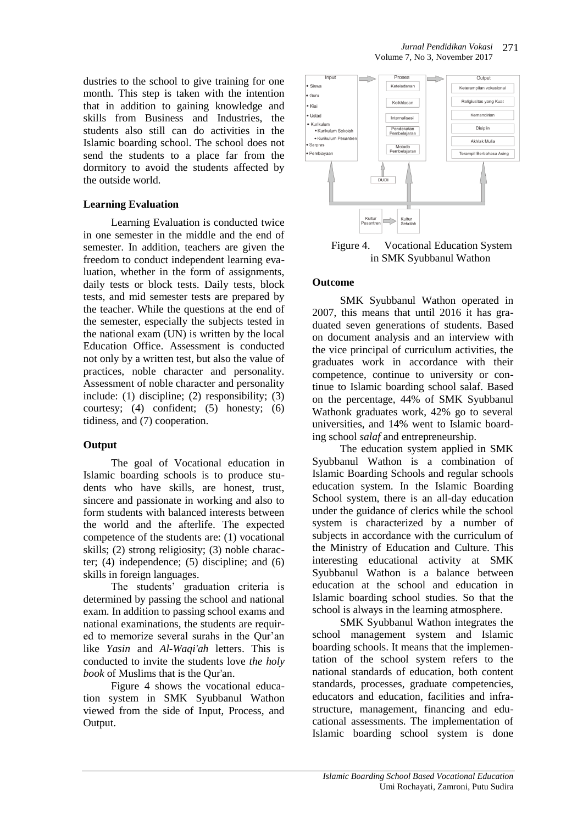dustries to the school to give training for one month. This step is taken with the intention that in addition to gaining knowledge and skills from Business and Industries, the students also still can do activities in the Islamic boarding school. The school does not send the students to a place far from the dormitory to avoid the students affected by the outside world.

# **Learning Evaluation**

Learning Evaluation is conducted twice in one semester in the middle and the end of semester. In addition, teachers are given the freedom to conduct independent learning evaluation, whether in the form of assignments, daily tests or block tests. Daily tests, block tests, and mid semester tests are prepared by the teacher. While the questions at the end of the semester, especially the subjects tested in the national exam (UN) is written by the local Education Office. Assessment is conducted not only by a written test, but also the value of practices, noble character and personality. Assessment of noble character and personality include: (1) discipline; (2) responsibility; (3) courtesy; (4) confident; (5) honesty; (6) tidiness, and (7) cooperation.

### **Output**

The goal of Vocational education in Islamic boarding schools is to produce students who have skills, are honest, trust, sincere and passionate in working and also to form students with balanced interests between the world and the afterlife. The expected competence of the students are: (1) vocational skills; (2) strong religiosity; (3) noble character; (4) independence; (5) discipline; and (6) skills in foreign languages.

The students' graduation criteria is determined by passing the school and national exam. In addition to passing school exams and national examinations, the students are required to memorize several surahs in the Qur'an like *Yasin* and *Al-Waqi'ah* letters. This is conducted to invite the students love *the holy book* of Muslims that is the Qur'an.

Figure 4 shows the vocational education system in SMK Syubbanul Wathon viewed from the side of Input, Process, and Output.



Figure 4. Vocational Education System in SMK Syubbanul Wathon

# **Outcome**

SMK Syubbanul Wathon operated in 2007, this means that until 2016 it has graduated seven generations of students. Based on document analysis and an interview with the vice principal of curriculum activities, the graduates work in accordance with their competence, continue to university or continue to Islamic boarding school salaf. Based on the percentage, 44% of SMK Syubbanul Wathonk graduates work, 42% go to several universities, and 14% went to Islamic boarding school *salaf* and entrepreneurship.

The education system applied in SMK Syubbanul Wathon is a combination of Islamic Boarding Schools and regular schools education system. In the Islamic Boarding School system, there is an all-day education under the guidance of clerics while the school system is characterized by a number of subjects in accordance with the curriculum of the Ministry of Education and Culture. This interesting educational activity at SMK Syubbanul Wathon is a balance between education at the school and education in Islamic boarding school studies. So that the school is always in the learning atmosphere.

SMK Syubbanul Wathon integrates the school management system and Islamic boarding schools. It means that the implementation of the school system refers to the national standards of education, both content standards, processes, graduate competencies, educators and education, facilities and infrastructure, management, financing and educational assessments. The implementation of Islamic boarding school system is done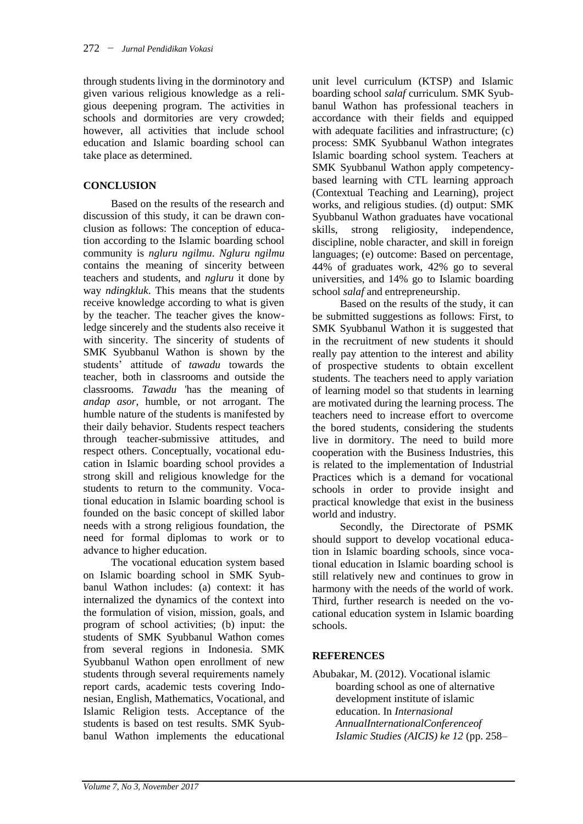through students living in the dorminotory and given various religious knowledge as a religious deepening program. The activities in schools and dormitories are very crowded; however, all activities that include school education and Islamic boarding school can take place as determined.

# **CONCLUSION**

Based on the results of the research and discussion of this study, it can be drawn conclusion as follows: The conception of education according to the Islamic boarding school community is *ngluru ngilmu*. *Ngluru ngilmu* contains the meaning of sincerity between teachers and students, and *ngluru* it done by way *ndingkluk*. This means that the students receive knowledge according to what is given by the teacher. The teacher gives the knowledge sincerely and the students also receive it with sincerity. The sincerity of students of SMK Syubbanul Wathon is shown by the students' attitude of *tawadu* towards the teacher, both in classrooms and outside the classrooms. *Tawadu* 'has the meaning of *andap asor*, humble, or not arrogant. The humble nature of the students is manifested by their daily behavior. Students respect teachers through teacher-submissive attitudes, and respect others. Conceptually, vocational education in Islamic boarding school provides a strong skill and religious knowledge for the students to return to the community. Vocational education in Islamic boarding school is founded on the basic concept of skilled labor needs with a strong religious foundation, the need for formal diplomas to work or to advance to higher education.

The vocational education system based on Islamic boarding school in SMK Syubbanul Wathon includes: (a) context: it has internalized the dynamics of the context into the formulation of vision, mission, goals, and program of school activities; (b) input: the students of SMK Syubbanul Wathon comes from several regions in Indonesia. SMK Syubbanul Wathon open enrollment of new students through several requirements namely report cards, academic tests covering Indonesian, English, Mathematics, Vocational, and Islamic Religion tests. Acceptance of the students is based on test results. SMK Syubbanul Wathon implements the educational

unit level curriculum (KTSP) and Islamic boarding school *salaf* curriculum. SMK Syubbanul Wathon has professional teachers in accordance with their fields and equipped with adequate facilities and infrastructure; (c) process: SMK Syubbanul Wathon integrates Islamic boarding school system. Teachers at SMK Syubbanul Wathon apply competencybased learning with CTL learning approach (Contextual Teaching and Learning), project works, and religious studies. (d) output: SMK Syubbanul Wathon graduates have vocational skills, strong religiosity, independence, discipline, noble character, and skill in foreign languages; (e) outcome: Based on percentage, 44% of graduates work, 42% go to several universities, and 14% go to Islamic boarding school *salaf* and entrepreneurship.

Based on the results of the study, it can be submitted suggestions as follows: First, to SMK Syubbanul Wathon it is suggested that in the recruitment of new students it should really pay attention to the interest and ability of prospective students to obtain excellent students. The teachers need to apply variation of learning model so that students in learning are motivated during the learning process. The teachers need to increase effort to overcome the bored students, considering the students live in dormitory. The need to build more cooperation with the Business Industries, this is related to the implementation of Industrial Practices which is a demand for vocational schools in order to provide insight and practical knowledge that exist in the business world and industry.

Secondly, the Directorate of PSMK should support to develop vocational education in Islamic boarding schools, since vocational education in Islamic boarding school is still relatively new and continues to grow in harmony with the needs of the world of work. Third, further research is needed on the vocational education system in Islamic boarding schools.

# **REFERENCES**

Abubakar, M. (2012). Vocational islamic boarding school as one of alternative development institute of islamic education. In *Internasional AnnualInternationalConferenceof Islamic Studies (AICIS) ke 12* (pp. 258–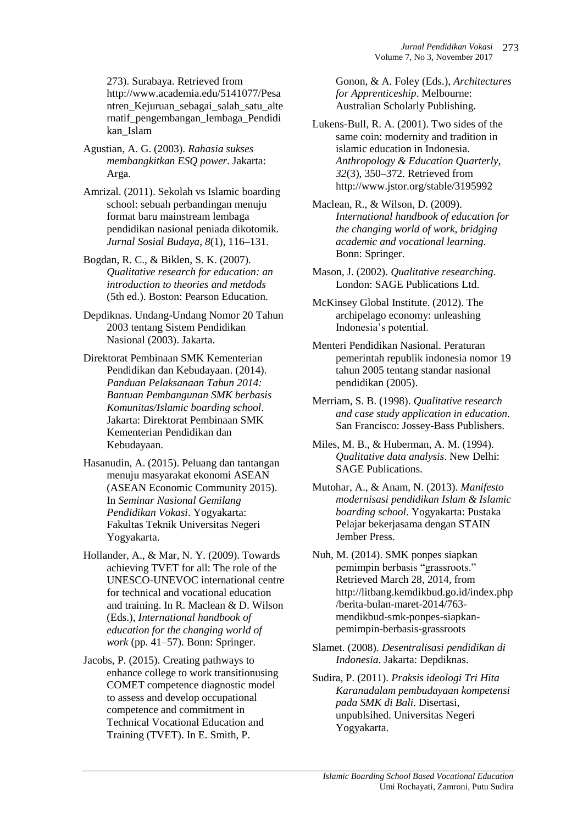273). Surabaya. Retrieved from http://www.academia.edu/5141077/Pesa ntren\_Kejuruan\_sebagai\_salah\_satu\_alte rnatif\_pengembangan\_lembaga\_Pendidi kan\_Islam

Agustian, A. G. (2003). *Rahasia sukses membangkitkan ESQ power*. Jakarta: Arga.

Amrizal. (2011). Sekolah vs Islamic boarding school: sebuah perbandingan menuju format baru mainstream lembaga pendidikan nasional peniada dikotomik. *Jurnal Sosial Budaya*, *8*(1), 116–131.

Bogdan, R. C., & Biklen, S. K. (2007). *Qualitative research for education: an introduction to theories and metdods* (5th ed.). Boston: Pearson Education.

Depdiknas. Undang-Undang Nomor 20 Tahun 2003 tentang Sistem Pendidikan Nasional (2003). Jakarta.

- Direktorat Pembinaan SMK Kementerian Pendidikan dan Kebudayaan. (2014). *Panduan Pelaksanaan Tahun 2014: Bantuan Pembangunan SMK berbasis Komunitas/Islamic boarding school*. Jakarta: Direktorat Pembinaan SMK Kementerian Pendidikan dan Kebudayaan.
- Hasanudin, A. (2015). Peluang dan tantangan menuju masyarakat ekonomi ASEAN (ASEAN Economic Community 2015). In *Seminar Nasional Gemilang Pendidikan Vokasi*. Yogyakarta: Fakultas Teknik Universitas Negeri Yogyakarta.

Hollander, A., & Mar, N. Y. (2009). Towards achieving TVET for all: The role of the UNESCO-UNEVOC international centre for technical and vocational education and training. In R. Maclean & D. Wilson (Eds.), *International handbook of education for the changing world of work* (pp. 41–57). Bonn: Springer.

Jacobs, P. (2015). Creating pathways to enhance college to work transitionusing COMET competence diagnostic model to assess and develop occupational competence and commitment in Technical Vocational Education and Training (TVET). In E. Smith, P.

Gonon, & A. Foley (Eds.), *Architectures for Apprenticeship*. Melbourne: Australian Scholarly Publishing.

- Lukens-Bull, R. A. (2001). Two sides of the same coin: modernity and tradition in islamic education in Indonesia. *Anthropology & Education Quarterly*, *32*(3), 350–372. Retrieved from http://www.jstor.org/stable/3195992
- Maclean, R., & Wilson, D. (2009). *International handbook of education for the changing world of work, bridging academic and vocational learning*. Bonn: Springer.
- Mason, J. (2002). *Qualitative researching*. London: SAGE Publications Ltd.

McKinsey Global Institute. (2012). The archipelago economy: unleashing Indonesia's potential.

Menteri Pendidikan Nasional. Peraturan pemerintah republik indonesia nomor 19 tahun 2005 tentang standar nasional pendidikan (2005).

Merriam, S. B. (1998). *Qualitative research and case study application in education*. San Francisco: Jossey-Bass Publishers.

- Miles, M. B., & Huberman, A. M. (1994). *Qualitative data analysis*. New Delhi: SAGE Publications.
- Mutohar, A., & Anam, N. (2013). *Manifesto modernisasi pendidikan Islam & Islamic boarding school*. Yogyakarta: Pustaka Pelajar bekerjasama dengan STAIN Jember Press.
- Nuh, M. (2014). SMK ponpes siapkan pemimpin berbasis "grassroots." Retrieved March 28, 2014, from http://litbang.kemdikbud.go.id/index.php /berita-bulan-maret-2014/763 mendikbud-smk-ponpes-siapkanpemimpin-berbasis-grassroots
- Slamet. (2008). *Desentralisasi pendidikan di Indonesia*. Jakarta: Depdiknas.

Sudira, P. (2011). *Praksis ideologi Tri Hita Karanadalam pembudayaan kompetensi pada SMK di Bali*. Disertasi, unpublsihed. Universitas Negeri Yogyakarta.